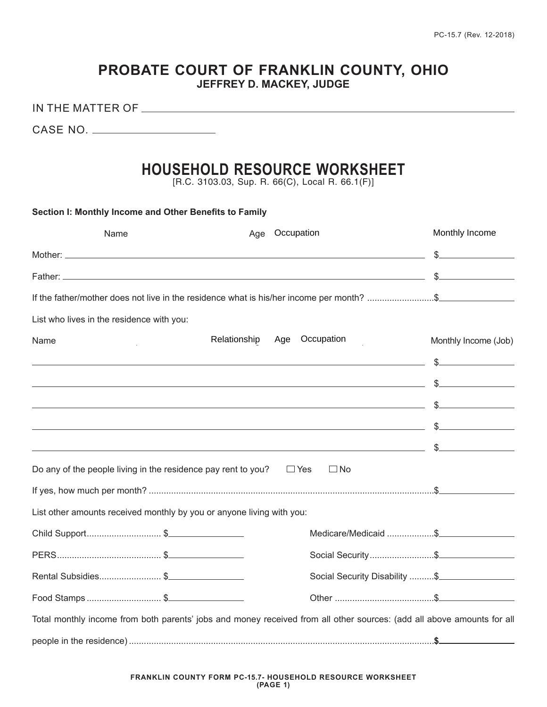# **PROBATE COURT OF FRANKLIN COUNTY, OHIO JEFFREY D. MACKEY, JUDGE**

IN THE MATTER OF

CASE NO.

# **HOUSEHOLD RESOURCE WORKSHEET**

[R.C. 3103.03, Sup. R. 66(C), Local R. 66.1(F)]

| Section I: Monthly Income and Other Benefits to Family                      |  |              |                                                                                                                                                                                                                                      |                                |  |  |
|-----------------------------------------------------------------------------|--|--------------|--------------------------------------------------------------------------------------------------------------------------------------------------------------------------------------------------------------------------------------|--------------------------------|--|--|
| Name                                                                        |  |              | Age Occupation                                                                                                                                                                                                                       | Monthly Income                 |  |  |
|                                                                             |  |              |                                                                                                                                                                                                                                      |                                |  |  |
|                                                                             |  |              |                                                                                                                                                                                                                                      |                                |  |  |
|                                                                             |  |              | If the father/mother does not live in the residence what is his/her income per month? \$                                                                                                                                             |                                |  |  |
| List who lives in the residence with you:                                   |  |              |                                                                                                                                                                                                                                      |                                |  |  |
| Name                                                                        |  | Relationship | Occupation<br>Age                                                                                                                                                                                                                    | Monthly Income (Job)           |  |  |
|                                                                             |  |              |                                                                                                                                                                                                                                      |                                |  |  |
|                                                                             |  |              | <u>in the second contract of the second contract of the second contract of the second contract of the second contract of the second contract of the second contract of the second contract of the second contract of the second </u> |                                |  |  |
|                                                                             |  |              |                                                                                                                                                                                                                                      |                                |  |  |
|                                                                             |  |              | <u> 1988 - Samuel Gallery, amerikansk politik (* 1908)</u>                                                                                                                                                                           |                                |  |  |
|                                                                             |  |              |                                                                                                                                                                                                                                      |                                |  |  |
| Do any of the people living in the residence pay rent to you? $\square$ Yes |  |              | $\Box$ No                                                                                                                                                                                                                            |                                |  |  |
|                                                                             |  |              |                                                                                                                                                                                                                                      |                                |  |  |
| List other amounts received monthly by you or anyone living with you:       |  |              |                                                                                                                                                                                                                                      |                                |  |  |
| Child Support\$                                                             |  |              | Medicare/Medicaid \$                                                                                                                                                                                                                 |                                |  |  |
|                                                                             |  |              | Social Security\$                                                                                                                                                                                                                    |                                |  |  |
| Rental Subsidies \$                                                         |  |              |                                                                                                                                                                                                                                      | Social Security Disability  \$ |  |  |
| Food Stamps \$                                                              |  |              |                                                                                                                                                                                                                                      |                                |  |  |
|                                                                             |  |              | Total monthly income from both parents' jobs and money received from all other sources: (add all above amounts for all                                                                                                               |                                |  |  |
|                                                                             |  |              |                                                                                                                                                                                                                                      |                                |  |  |